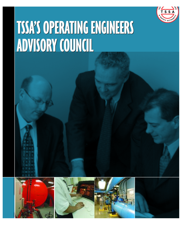

# **TSSA'SOPERATINGENGINEERS TSSA'SOPERATINGENGINEERS ADVISORYCOUNCIL ADVISORYCOUNCIL**







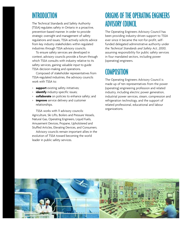# **INTRODUCTION**

The Technical Standards and Safety Authority (TSSA) regulates safety in Ontario in a proactive, prevention-based manner. In order to provide strategic oversight and management of safety regulations and issues, TSSA actively solicits advice from key industry stakeholders within regulated industries through TSSA advisory councils.

To ensure safety services are developed in context, advisory councils provide a forum through which TSSA consults with industry relative to its safety services, gaining valuable input to guide TSSA decision-making and operations.

Composed of stakeholder representatives from TSSA-regulated industries, the advisory councils work with TSSA to:

- > **support** existing safety initiatives;
- > **identify** industry-specific issues;
- **collaborate** on policies to enhance safety; and
- > **improve** service delivery and customer relationships.

TSSA works with 11 advisory councils: Agriculture, Ski Lifts, Boilers and Pressure Vessels, Natural Gas, Operating Engineers, Liquid Fuels, Amusement Devices, Propane, Upholstered and Stuffed Articles, Elevating Devices, and Consumers.

Advisory councils remain important allies in the evolution of TSSA toward becoming the world leader in public safety services.

#### ORIGINS OF THE OPERATING ENGINEERS **ADVISORY COUNCIL**

The Operating Engineers Advisory Council has been providing industry-driven support to TSSA ever since it became the not-for-profit, selffunded delegated administrative authority under the *Technical Standards and Safety Act, 2000*, assuming responsibility for public safety services in four mandated sectors, including power (operating) engineers.

# **COMPOSITION**

The Operating Engineers Advisory Council is made up of ten representatives from the power (operating) engineering profession and related industry, including electric power generation, industrial power services, steam, compression and refrigeration technology, and the support of related professional, educational and labour organizations.